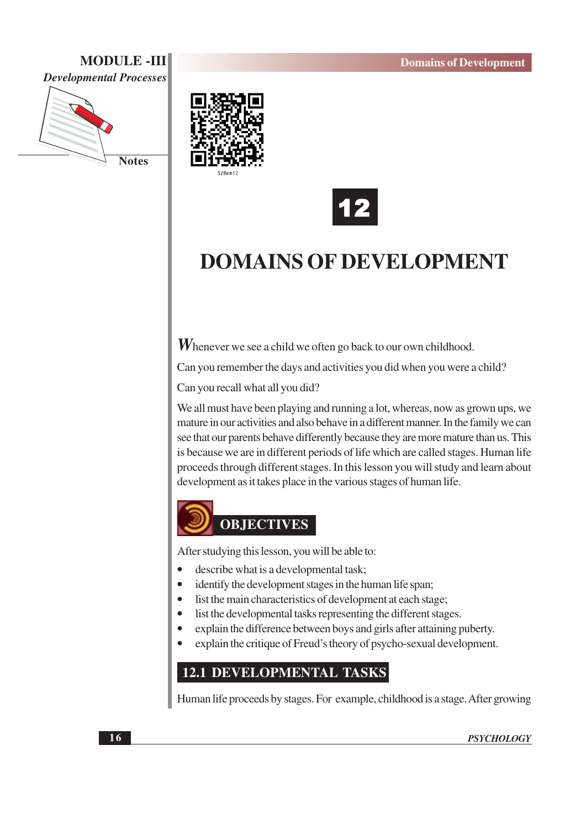# **MODULE -III**



**Notes** 





# **DOMAINS OF DEVELOPMENT**

**W** henever we see a child we often go back to our own childhood.

Can you remember the days and activities you did when you were a child?

Can you recall what all you did?

We all must have been playing and running a lot, whereas, now as grown ups, we mature in our activities and also behave in a different manner. In the family we can see that our parents behave differently because they are more mature than us. This is because we are in different periods of life which are called stages. Human life proceeds through different stages. In this lesson you will study and learn about development as it takes place in the various stages of human life.



After studying this lesson, you will be able to:

- describe what is a developmental task;
- identify the development stages in the human life span;
- list the main characteristics of development at each stage;
- list the developmental tasks representing the different stages.
- explain the difference between boys and girls after attaining puberty.
- explain the critique of Freud's theory of psycho-sexual development.

# **12.1 DEVELOPMENTAL TASKS**

Human life proceeds by stages. For example, childhood is a stage. After growing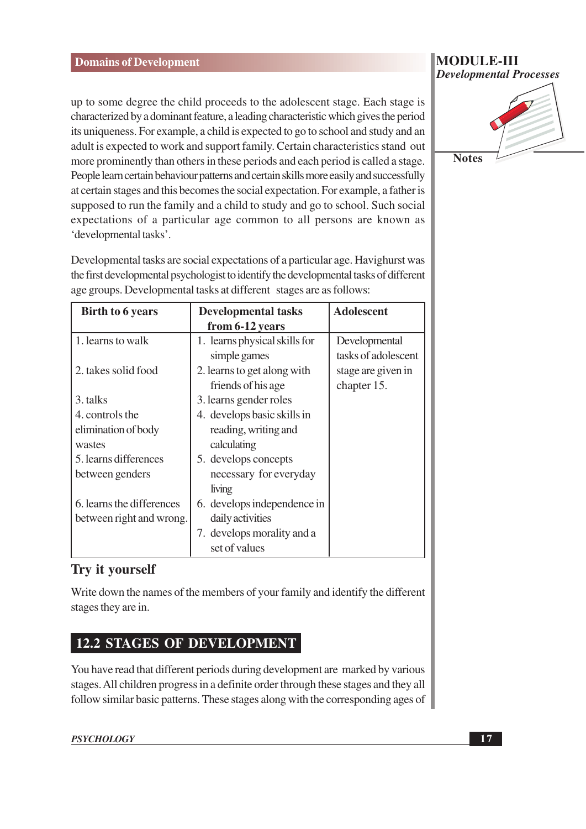up to some degree the child proceeds to the adolescent stage. Each stage is characterized by a dominant feature, a leading characteristic which gives the period its uniqueness. For example, a child is expected to go to school and study and an adult is expected to work and support family. Certain characteristics stand out more prominently than others in these periods and each period is called a stage. People learn certain behaviour patterns and certain skills more easily and successfully at certain stages and this becomes the social expectation. For example, a father is supposed to run the family and a child to study and go to school. Such social expectations of a particular age common to all persons are known as 'developmental tasks'.

Developmental tasks are social expectations of a particular age. Havighurst was the first developmental psychologist to identify the developmental tasks of different age groups. Developmental tasks at different stages are as follows:

| <b>Birth to 6 years</b>   | <b>Developmental tasks</b>    | <b>Adolescent</b>   |
|---------------------------|-------------------------------|---------------------|
|                           | from 6-12 years               |                     |
| 1. learns to walk         | 1. learns physical skills for | Developmental       |
|                           | simple games                  | tasks of adolescent |
| 2. takes solid food       | 2. learns to get along with   | stage are given in  |
|                           | friends of his age            | chapter 15.         |
| 3. talks                  | 3. learns gender roles        |                     |
| 4. controls the           | 4. develops basic skills in   |                     |
| elimination of body       | reading, writing and          |                     |
| wastes                    | calculating                   |                     |
| 5. learns differences     | 5. develops concepts          |                     |
| between genders           | necessary for everyday        |                     |
|                           | living                        |                     |
| 6. learns the differences | 6. develops independence in   |                     |
| between right and wrong.  | daily activities              |                     |
|                           | 7. develops morality and a    |                     |
|                           | set of values                 |                     |

# Try it yourself

Write down the names of the members of your family and identify the different stages they are in.

# **12.2 STAGES OF DEVELOPMENT**

You have read that different periods during development are marked by various stages. All children progress in a definite order through these stages and they all follow similar basic patterns. These stages along with the corresponding ages of

#### **MODULE-III Developmental Processes**

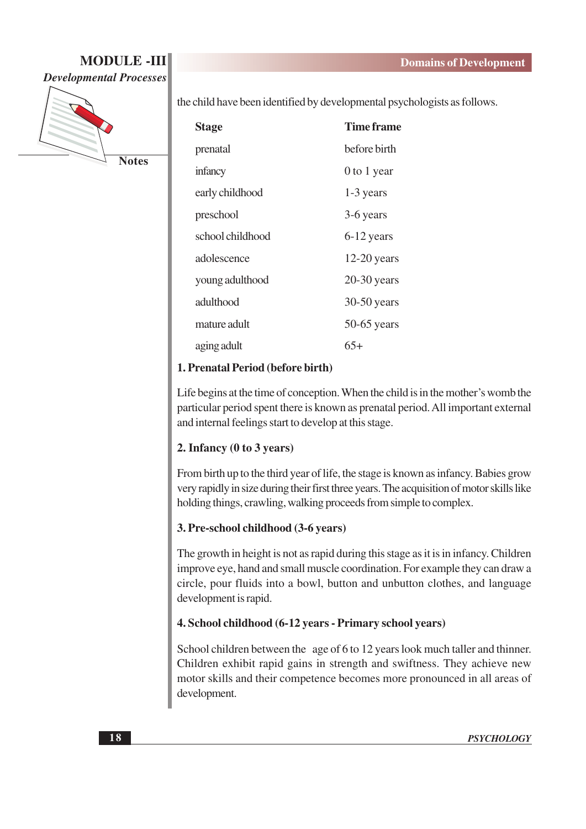

the child have been identified by developmental psychologists as follows.

| <b>Stage</b>     | Time frame    |
|------------------|---------------|
| prenatal         | before birth  |
| infancy          | 0 to 1 year   |
| early childhood  | 1-3 years     |
| preschool        | 3-6 years     |
| school childhood | $6-12$ years  |
| adolescence      | $12-20$ years |
| young adulthood  | $20-30$ years |
| adulthood        | 30-50 years   |
| mature adult     | $50-65$ years |
| aging adult      | 65+           |

#### 1. Prenatal Period (before birth)

Life begins at the time of conception. When the child is in the mother's womb the particular period spent there is known as prenatal period. All important external and internal feelings start to develop at this stage.

#### 2. Infancy (0 to 3 years)

From birth up to the third year of life, the stage is known as infancy. Babies grow very rapidly in size during their first three years. The acquisition of motor skills like holding things, crawling, walking proceeds from simple to complex.

#### 3. Pre-school childhood (3-6 years)

The growth in height is not as rapid during this stage as it is in infancy. Children improve eye, hand and small muscle coordination. For example they can draw a circle, pour fluids into a bowl, button and unbutton clothes, and language development is rapid.

#### 4. School childhood (6-12 years - Primary school years)

School children between the age of 6 to 12 years look much taller and thinner. Children exhibit rapid gains in strength and swiftness. They achieve new motor skills and their competence becomes more pronounced in all areas of development.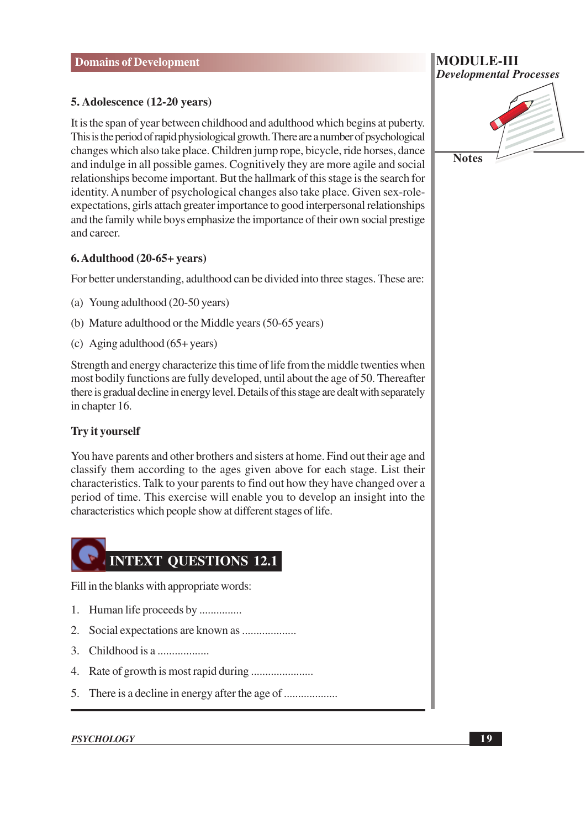#### 5. Adolescence (12-20 years)

It is the span of year between childhood and adulthood which begins at puberty. This is the period of rapid physiological growth. There are a number of psychological changes which also take place. Children jump rope, bicycle, ride horses, dance and indulge in all possible games. Cognitively they are more agile and social relationships become important. But the hallmark of this stage is the search for identity. A number of psychological changes also take place. Given sex-roleexpectations, girls attach greater importance to good interpersonal relationships and the family while boys emphasize the importance of their own social prestige and career.

#### $6.$  Adulthood  $(20-65+)$  years)

For better understanding, adulthood can be divided into three stages. These are:

- (a) Young adulthood (20-50 years)
- (b) Mature adulthood or the Middle years (50-65 years)
- (c) Aging adulthood  $(65 + \text{years})$

Strength and energy characterize this time of life from the middle twenties when most bodily functions are fully developed, until about the age of 50. Thereafter there is gradual decline in energy level. Details of this stage are dealt with separately in chapter 16.

#### **Try it yourself**

You have parents and other brothers and sisters at home. Find out their age and classify them according to the ages given above for each stage. List their characteristics. Talk to your parents to find out how they have changed over a period of time. This exercise will enable you to develop an insight into the characteristics which people show at different stages of life.



Fill in the blanks with appropriate words:

- 1. Human life proceeds by ...............
- 
- 3. Childhood is a ...................
- 
- 

#### **PSYCHOLOGY**



 $19$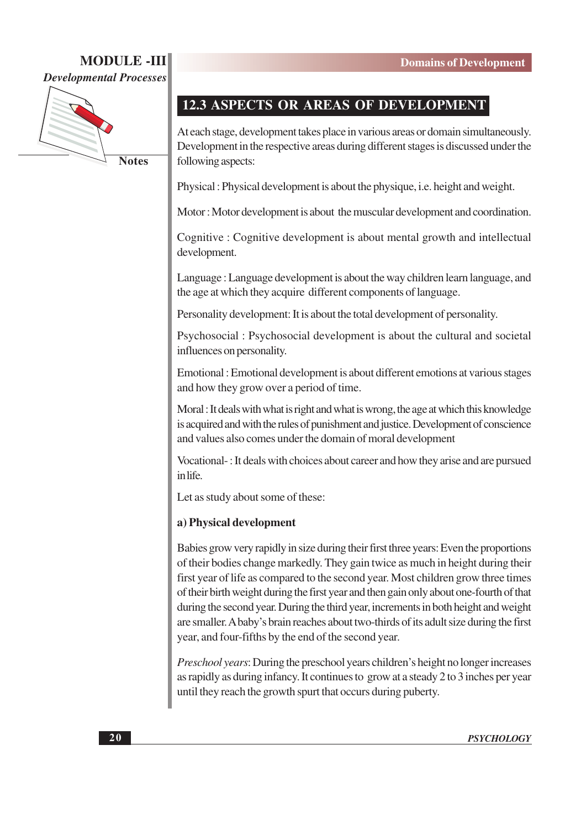# **MODULE-III**





**Notes** 

# 12.3 ASPECTS OR AREAS OF DEVELOPMENT

At each stage, development takes place in various areas or domain simultaneously. Development in the respective areas during different stages is discussed under the following aspects:

Physical: Physical development is about the physique, i.e. height and weight.

Motor: Motor development is about the muscular development and coordination.

Cognitive: Cognitive development is about mental growth and intellectual development.

Language: Language development is about the way children learn language, and the age at which they acquire different components of language.

Personality development: It is about the total development of personality.

Psychosocial: Psychosocial development is about the cultural and societal influences on personality.

Emotional: Emotional development is about different emotions at various stages and how they grow over a period of time.

Moral: It deals with what is right and what is wrong, the age at which this knowledge is acquired and with the rules of punishment and justice. Development of conscience and values also comes under the domain of moral development

Vocational -: It deals with choices about career and how they arise and are pursued in life.

Let as study about some of these:

#### a) Physical development

Babies grow very rapidly in size during their first three years: Even the proportions of their bodies change markedly. They gain twice as much in height during their first year of life as compared to the second year. Most children grow three times of their birth weight during the first year and then gain only about one-fourth of that during the second year. During the third year, increments in both height and weight are smaller. A baby's brain reaches about two-thirds of its adult size during the first year, and four-fifths by the end of the second year.

Preschool years: During the preschool years children's height no longer increases as rapidly as during infancy. It continues to grow at a steady 2 to 3 inches per year until they reach the growth spurt that occurs during puberty.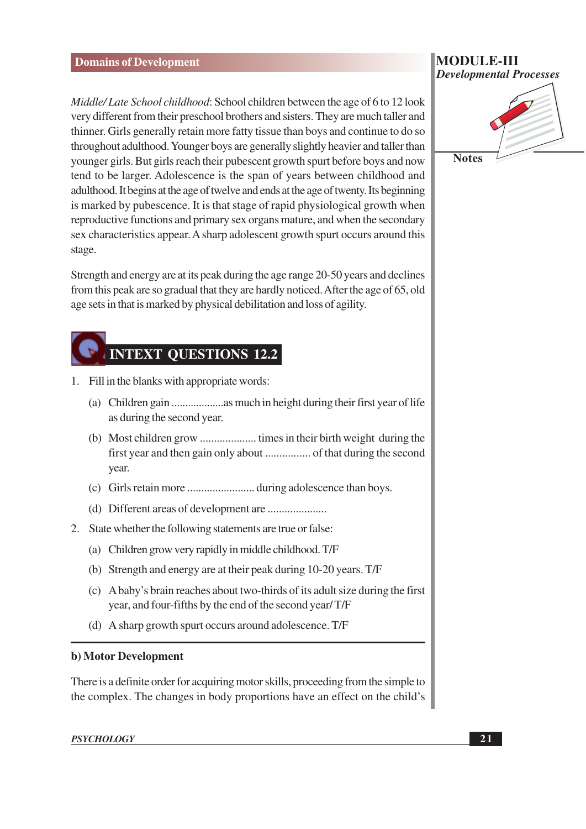Middle/Late School childhood: School children between the age of 6 to 12 look very different from their preschool brothers and sisters. They are much taller and thinner. Girls generally retain more fatty tissue than boys and continue to do so throughout adulthood. Younger boys are generally slightly heavier and taller than younger girls. But girls reach their pubescent growth spurt before boys and now tend to be larger. Adolescence is the span of years between childhood and adulthood. It begins at the age of twelve and ends at the age of twenty. Its beginning is marked by pubescence. It is that stage of rapid physiological growth when reproductive functions and primary sex organs mature, and when the secondary sex characteristics appear. A sharp adolescent growth spurt occurs around this stage.

Strength and energy are at its peak during the age range 20-50 years and declines from this peak are so gradual that they are hardly noticed. After the age of 65, old age sets in that is marked by physical debilitation and loss of agility.

# **INTEXT QUESTIONS 12.2**

- 1. Fill in the blanks with appropriate words:
	- as during the second year.
	- year.
	-
	-
- 2. State whether the following statements are true or false:
	- (a) Children grow very rapidly in middle childhood. T/F
	- (b) Strength and energy are at their peak during 10-20 years. T/F
	- (c) A baby's brain reaches about two-thirds of its adult size during the first year, and four-fifths by the end of the second year/T/F
	- (d) A sharp growth spurt occurs around adolescence. T/F

#### b) Motor Development

There is a definite order for acquiring motor skills, proceeding from the simple to the complex. The changes in body proportions have an effect on the child's

#### **PSYCHOLOGY**

#### MODULE-III **Developmental Processes**

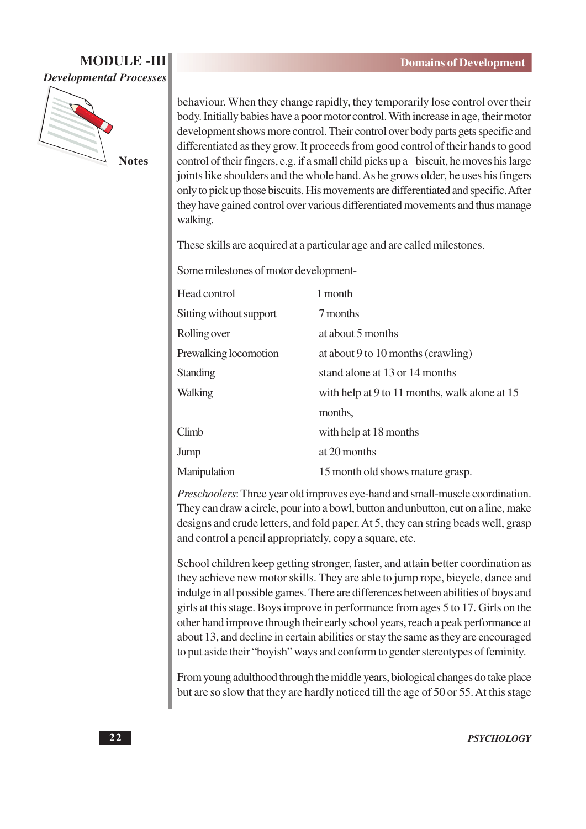

**Notes** 

behaviour. When they change rapidly, they temporarily lose control over their body. Initially babies have a poor motor control. With increase in age, their motor development shows more control. Their control over body parts gets specific and differentiated as they grow. It proceeds from good control of their hands to good control of their fingers, e.g. if a small child picks up a biscuit, he moves his large joints like shoulders and the whole hand. As he grows older, he uses his fingers only to pick up those biscuits. His movements are differentiated and specific. After they have gained control over various differentiated movements and thus manage walking.

These skills are acquired at a particular age and are called milestones.

Some milestones of motor development-

| Head control            | 1 month                                       |
|-------------------------|-----------------------------------------------|
| Sitting without support | 7 months                                      |
| Rolling over            | at about 5 months                             |
| Prewalking locomotion   | at about 9 to 10 months (crawling)            |
| Standing                | stand alone at 13 or 14 months                |
| Walking                 | with help at 9 to 11 months, walk alone at 15 |
|                         | months,                                       |
| Climb                   | with help at 18 months                        |
| Jump                    | at 20 months                                  |
| Manipulation            | 15 month old shows mature grasp.              |

*Preschoolers*: Three year old improves eye-hand and small-muscle coordination. They can draw a circle, pour into a bowl, button and unbutton, cut on a line, make designs and crude letters, and fold paper. At 5, they can string beads well, grasp and control a pencil appropriately, copy a square, etc.

School children keep getting stronger, faster, and attain better coordination as they achieve new motor skills. They are able to jump rope, bicycle, dance and indulge in all possible games. There are differences between abilities of boys and girls at this stage. Boys improve in performance from ages 5 to 17. Girls on the other hand improve through their early school years, reach a peak performance at about 13, and decline in certain abilities or stay the same as they are encouraged to put aside their "bovish" ways and conform to gender stereotypes of feminity.

From young adulthood through the middle years, biological changes do take place but are so slow that they are hardly noticed till the age of 50 or 55. At this stage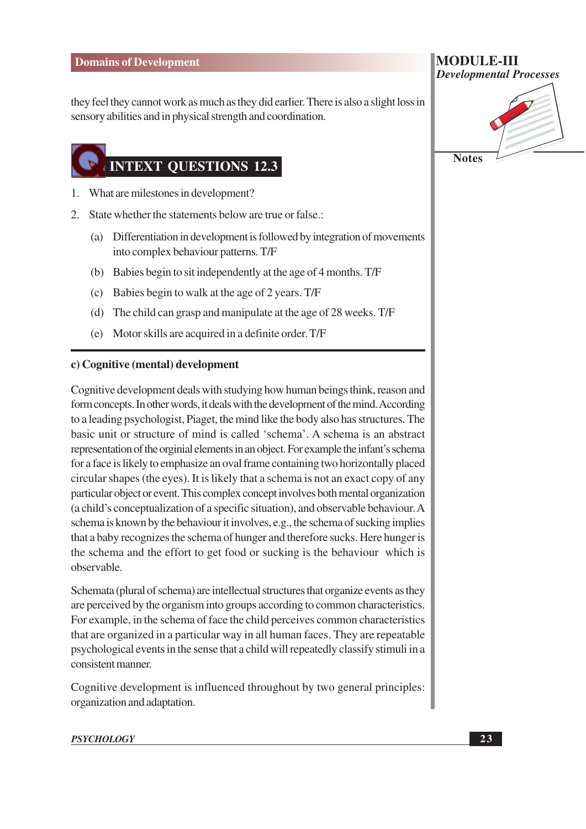they feel they cannot work as much as they did earlier. There is also a slight loss in sensory abilities and in physical strength and coordination.

# **INTEXT QUESTIONS 12.3**

- 1. What are milestones in development?
- 2. State whether the statements below are true or false.:
	- (a) Differentiation in development is followed by integration of movements into complex behaviour patterns. T/F
	- (b) Babies begin to sit independently at the age of 4 months. T/F
	- (c) Babies begin to walk at the age of 2 years. T/F
	- (d) The child can grasp and manipulate at the age of 28 weeks. T/F
	- (e) Motor skills are acquired in a definite order. T/F

#### c) Cognitive (mental) development

Cognitive development deals with studying how human beings think, reason and form concepts. In other words, it deals with the development of the mind. According to a leading psychologist, Piaget, the mind like the body also has structures. The basic unit or structure of mind is called 'schema'. A schema is an abstract representation of the orginial elements in an object. For example the infant's schema for a face is likely to emphasize an oval frame containing two horizontally placed circular shapes (the eyes). It is likely that a schema is not an exact copy of any particular object or event. This complex concept involves both mental organization (a child's conceptualization of a specific situation), and observable behaviour. A schema is known by the behaviour it involves, e.g., the schema of sucking implies that a baby recognizes the schema of hunger and therefore sucks. Here hunger is the schema and the effort to get food or sucking is the behaviour which is observable.

Schemata (plural of schema) are intellectual structures that organize events as they are perceived by the organism into groups according to common characteristics. For example, in the schema of face the child perceives common characteristics that are organized in a particular way in all human faces. They are repeatable psychological events in the sense that a child will repeatedly classify stimuli in a consistent manner.

Cognitive development is influenced throughout by two general principles: organization and adaptation.

#### **PSYCHOLOGY**

| <b>MODULE-III</b>              |
|--------------------------------|
| <b>Developmental Processes</b> |
|                                |

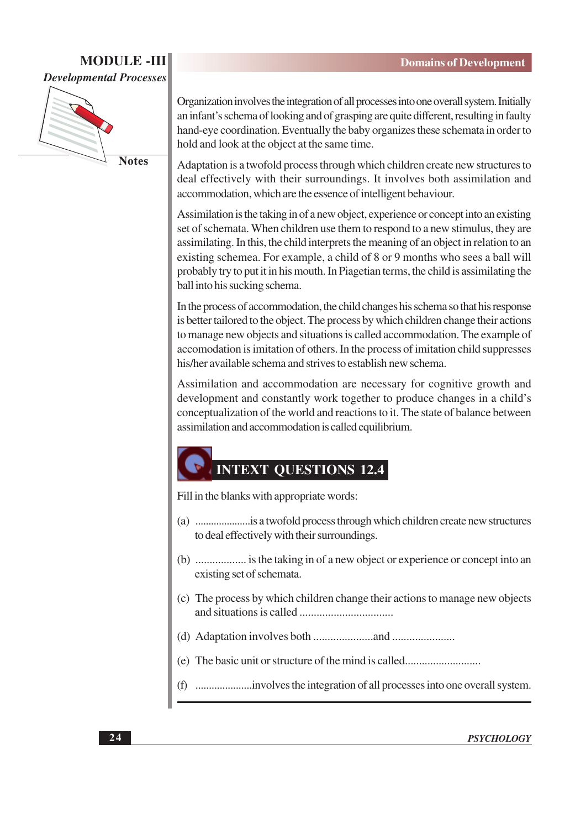

**Notes** 

Organization involves the integration of all processes into one overall system. Initially an infant's schema of looking and of grasping are quite different, resulting in faulty hand-eye coordination. Eventually the baby organizes these schemata in order to hold and look at the object at the same time.

Adaptation is a twofold process through which children create new structures to deal effectively with their surroundings. It involves both assimilation and accommodation, which are the essence of intelligent behaviour.

Assimilation is the taking in of a new object, experience or concept into an existing set of schemata. When children use them to respond to a new stimulus, they are assimilating. In this, the child interprets the meaning of an object in relation to an existing schemea. For example, a child of 8 or 9 months who sees a ball will probably try to put it in his mouth. In Piagetian terms, the child is assimilating the ball into his sucking schema.

In the process of accommodation, the child changes his schema so that his response is better tailored to the object. The process by which children change their actions to manage new objects and situations is called accommodation. The example of accomodation is imitation of others. In the process of imitation child suppresses his/her available schema and strives to establish new schema.

Assimilation and accommodation are necessary for cognitive growth and development and constantly work together to produce changes in a child's conceptualization of the world and reactions to it. The state of balance between assimilation and accommodation is called equilibrium.

# **INTEXT QUESTIONS 12.4**

Fill in the blanks with appropriate words:

- to deal effectively with their surroundings.
- (b) ..................... is the taking in of a new object or experience or concept into an existing set of schemata.
- (c) The process by which children change their actions to manage new objects
- 
- (e) The basic unit or structure of the mind is called............................
-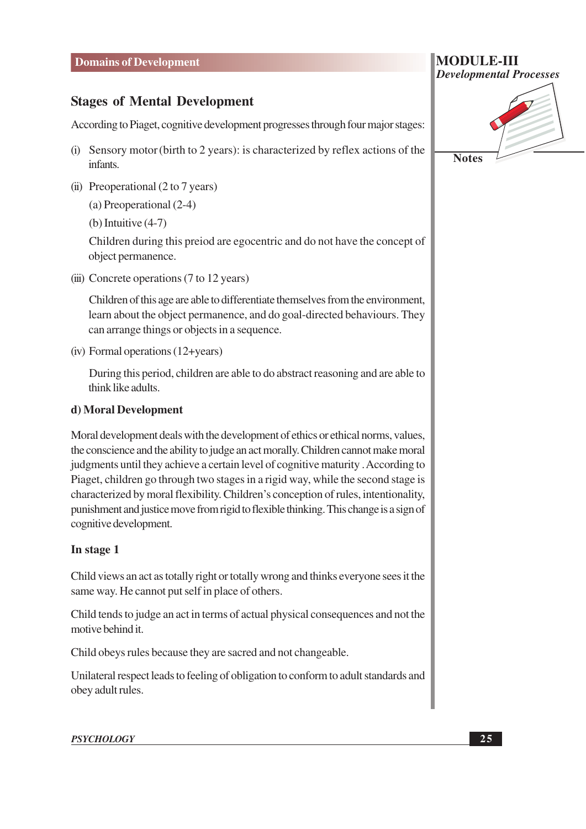#### **Stages of Mental Development**

According to Piaget, cognitive development progresses through four major stages:

- (i) Sensory motor (birth to 2 years): is characterized by reflex actions of the infants.
- (ii) Preoperational  $(2 \text{ to } 7 \text{ years})$

(a) Preoperational (2-4)

(b) Intuitive  $(4-7)$ 

Children during this preiod are egocentric and do not have the concept of object permanence.

(iii) Concrete operations (7 to 12 years)

Children of this age are able to differentiate themselves from the environment, learn about the object permanence, and do goal-directed behaviours. They can arrange things or objects in a sequence.

 $(iv)$  Formal operations  $(12 + \text{years})$ 

During this period, children are able to do abstract reasoning and are able to think like adults.

#### d) Moral Development

Moral development deals with the development of ethics or ethical norms, values, the conscience and the ability to judge an act morally. Children cannot make moral judgments until they achieve a certain level of cognitive maturity. According to Piaget, children go through two stages in a rigid way, while the second stage is characterized by moral flexibility. Children's conception of rules, intentionality, punishment and justice move from rigid to flexible thinking. This change is a sign of cognitive development.

#### In stage 1

Child views an act as totally right or totally wrong and thinks everyone sees it the same way. He cannot put self in place of others.

Child tends to judge an act in terms of actual physical consequences and not the motive behind it.

Child obeys rules because they are sacred and not changeable.

Unilateral respect leads to feeling of obligation to conform to adult standards and obey adult rules.

#### **PSYCHOLOGY**

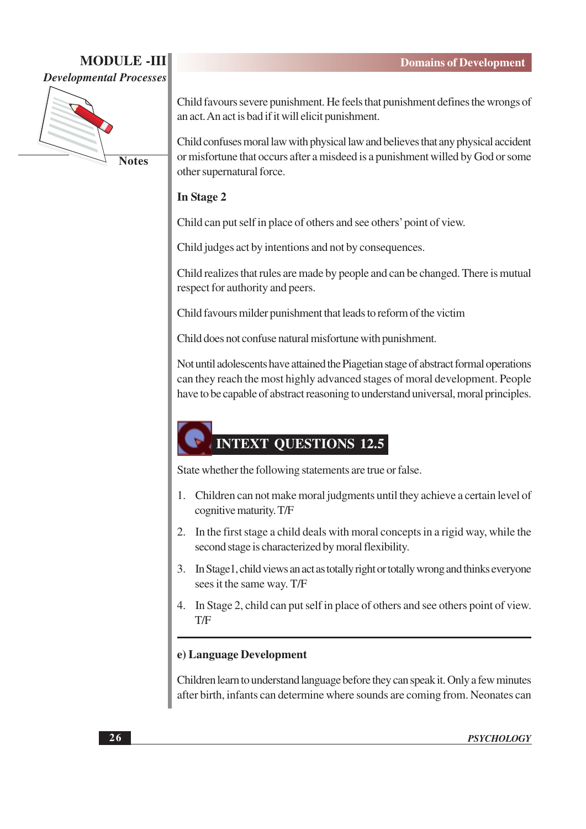

**Notes** 

Child favours severe punishment. He feels that punishment defines the wrongs of an act. An act is bad if it will elicit punishment.

Child confuses moral law with physical law and believes that any physical accident or misfortune that occurs after a misdeed is a punishment willed by God or some other supernatural force.

#### In Stage 2

Child can put self in place of others and see others' point of view.

Child judges act by intentions and not by consequences.

Child realizes that rules are made by people and can be changed. There is mutual respect for authority and peers.

Child favours milder punishment that leads to reform of the victim

Child does not confuse natural misfortune with punishment.

Not until adolescents have attained the Piagetian stage of abstract formal operations can they reach the most highly advanced stages of moral development. People have to be capable of abstract reasoning to understand universal, moral principles.

# **INTEXT QUESTIONS 12.5**

State whether the following statements are true or false.

- Children can not make moral judgments until they achieve a certain level of  $1_{-}$ cognitive maturity. T/F
- 2. In the first stage a child deals with moral concepts in a rigid way, while the second stage is characterized by moral flexibility.
- 3. In Stage1, child views an act as totally right or totally wrong and thinks everyone sees it the same way. T/F
- 4. In Stage 2, child can put self in place of others and see others point of view. T/F

#### e) Language Development

Children learn to understand language before they can speak it. Only a few minutes after birth, infants can determine where sounds are coming from. Neonates can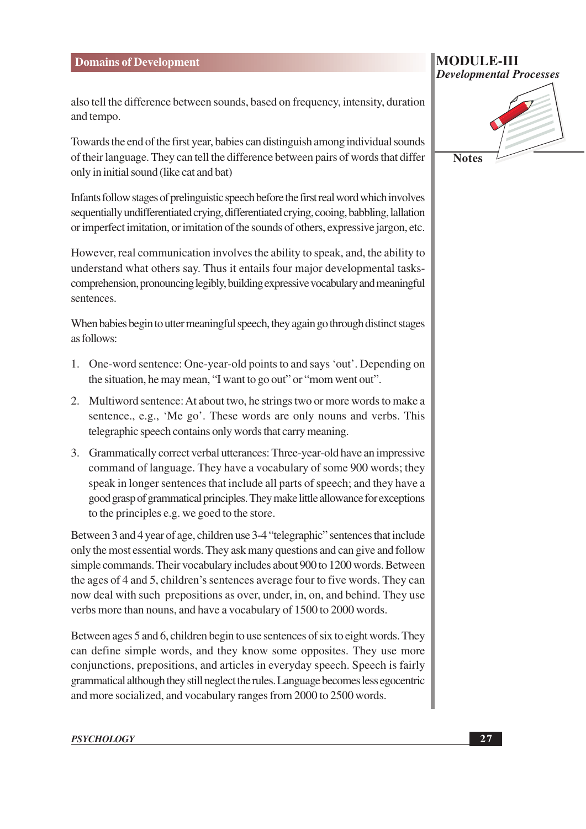also tell the difference between sounds, based on frequency, intensity, duration and tempo.

Towards the end of the first year, babies can distinguish among individual sounds of their language. They can tell the difference between pairs of words that differ only in initial sound (like cat and bat)

Infants follow stages of prelinguistic speech before the first real word which involves sequentially undifferentiated crying, differentiated crying, cooing, babbling, lallation or imperfect imitation, or imitation of the sounds of others, expressive jargon, etc.

However, real communication involves the ability to speak, and, the ability to understand what others say. Thus it entails four major developmental taskscomprehension, pronouncing legibly, building expressive vocabulary and meaningful sentences.

When babies begin to utter meaningful speech, they again go through distinct stages as follows:

- 1. One-word sentence: One-year-old points to and says 'out'. Depending on the situation, he may mean, "I want to go out" or "mom went out".
- 2. Multiword sentence: At about two, he strings two or more words to make a sentence., e.g., 'Me go'. These words are only nouns and verbs. This telegraphic speech contains only words that carry meaning.
- 3. Grammatically correct verbal utterances: Three-year-old have an impressive command of language. They have a vocabulary of some 900 words; they speak in longer sentences that include all parts of speech; and they have a good grasp of grammatical principles. They make little allowance for exceptions to the principles e.g. we goed to the store.

Between 3 and 4 year of age, children use 3-4 "telegraphic" sentences that include only the most essential words. They ask many questions and can give and follow simple commands. Their vocabulary includes about 900 to 1200 words. Between the ages of 4 and 5, children's sentences average four to five words. They can now deal with such prepositions as over, under, in, on, and behind. They use verbs more than nouns, and have a vocabulary of 1500 to 2000 words.

Between ages 5 and 6, children begin to use sentences of six to eight words. They can define simple words, and they know some opposites. They use more conjunctions, prepositions, and articles in everyday speech. Speech is fairly grammatical although they still neglect the rules. Language becomes less egocentric and more socialized, and vocabulary ranges from 2000 to 2500 words.

**Notes** 

**Developmental Processes** 

**MODULE-III**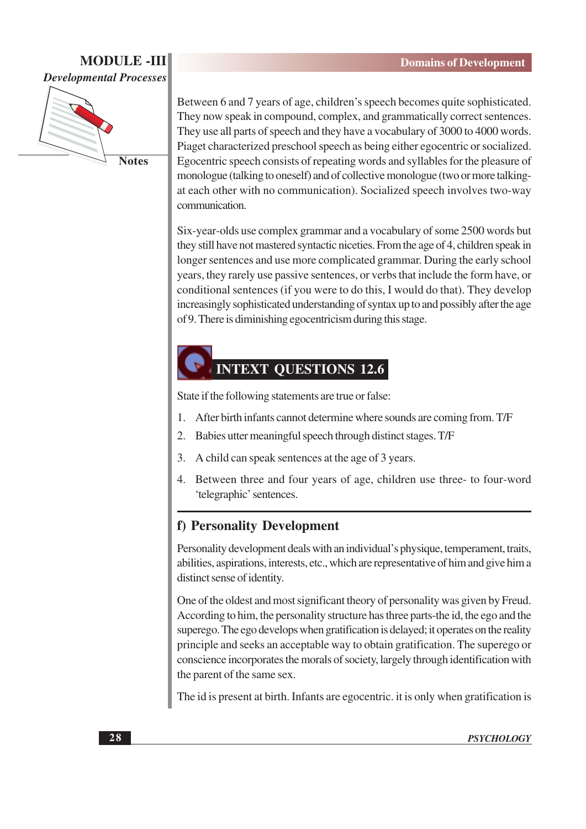

**Notes** 

Between 6 and 7 years of age, children's speech becomes quite sophisticated. They now speak in compound, complex, and grammatically correct sentences. They use all parts of speech and they have a vocabulary of 3000 to 4000 words. Piaget characterized preschool speech as being either egocentric or socialized. Egocentric speech consists of repeating words and syllables for the pleasure of monologue (talking to oneself) and of collective monologue (two or more talkingat each other with no communication). Socialized speech involves two-way communication.

Six-year-olds use complex grammar and a vocabulary of some 2500 words but they still have not mastered syntactic niceties. From the age of 4, children speak in longer sentences and use more complicated grammar. During the early school years, they rarely use passive sentences, or verbs that include the form have, or conditional sentences (if you were to do this, I would do that). They develop increasingly sophisticated understanding of syntax up to and possibly after the age of 9. There is diminishing egocentricism during this stage.

# **INTEXT OUESTIONS 12.6**

State if the following statements are true or false:

- After birth infants cannot determine where sounds are coming from. T/F  $\mathbf{1}$ .
- $\overline{2}$ . Babies utter meaningful speech through distinct stages. T/F
- $\mathfrak{Z}$ . A child can speak sentences at the age of 3 years.
- 4. Between three and four years of age, children use three- to four-word 'telegraphic' sentences.

#### f) Personality Development

Personality development deals with an individual's physique, temperament, traits, abilities, aspirations, interests, etc., which are representative of him and give him a distinct sense of identity.

One of the oldest and most significant theory of personality was given by Freud. According to him, the personality structure has three parts-the id, the ego and the superego. The ego develops when gratification is delayed; it operates on the reality principle and seeks an acceptable way to obtain gratification. The superego or conscience incorporates the morals of society, largely through identification with the parent of the same sex.

The id is present at birth. Infants are egocentric, it is only when gratification is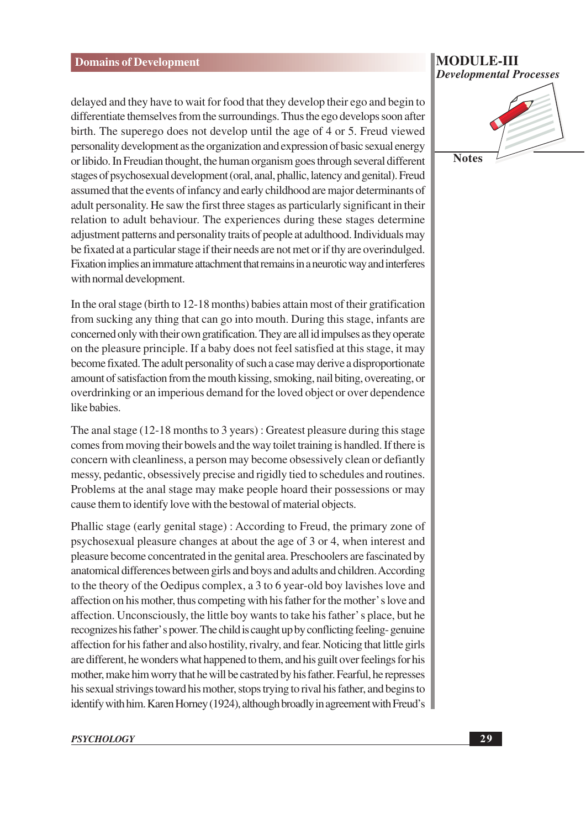delayed and they have to wait for food that they develop their ego and begin to differentiate themselves from the surroundings. Thus the ego develops soon after birth. The superego does not develop until the age of 4 or 5. Freud viewed personality development as the organization and expression of basic sexual energy or libido. In Freudian thought, the human organism goes through several different stages of psychosexual development (oral, anal, phallic, latency and genital). Freud assumed that the events of infancy and early childhood are major determinants of adult personality. He saw the first three stages as particularly significant in their relation to adult behaviour. The experiences during these stages determine adjustment patterns and personality traits of people at adulthood. Individuals may be fixated at a particular stage if their needs are not met or if thy are overindulged. Fixation implies an immature attachment that remains in a neurotic way and interferes with normal development.

In the oral stage (birth to 12-18 months) babies attain most of their gratification from sucking any thing that can go into mouth. During this stage, infants are concerned only with their own gratification. They are all id impulses as they operate on the pleasure principle. If a baby does not feel satisfied at this stage, it may become fixated. The adult personality of such a case may derive a disproportionate amount of satisfaction from the mouth kissing, smoking, nail biting, overeating, or overdrinking or an imperious demand for the loved object or over dependence like babies.

The anal stage (12-18 months to 3 years): Greatest pleasure during this stage comes from moving their bowels and the way toilet training is handled. If there is concern with cleanliness, a person may become obsessively clean or defiantly messy, pedantic, obsessively precise and rigidly tied to schedules and routines. Problems at the anal stage may make people hoard their possessions or may cause them to identify love with the bestowal of material objects.

Phallic stage (early genital stage): According to Freud, the primary zone of psychosexual pleasure changes at about the age of 3 or 4, when interest and pleasure become concentrated in the genital area. Preschoolers are fascinated by anatomical differences between girls and boys and adults and children. According to the theory of the Oedipus complex, a 3 to 6 year-old boy lavishes love and affection on his mother, thus competing with his father for the mother's love and affection. Unconsciously, the little boy wants to take his father's place, but he recognizes his father's power. The child is caught up by conflicting feeling-genuine affection for his father and also hostility, rivalry, and fear. Noticing that little girls are different, he wonders what happened to them, and his guilt over feelings for his mother, make him worry that he will be castrated by his father. Fearful, he represses his sexual strivings toward his mother, stops trying to rival his father, and begins to identify with him. Karen Horney (1924), although broadly in agreement with Freud's

#### **MODULE-III Developmental Processes**

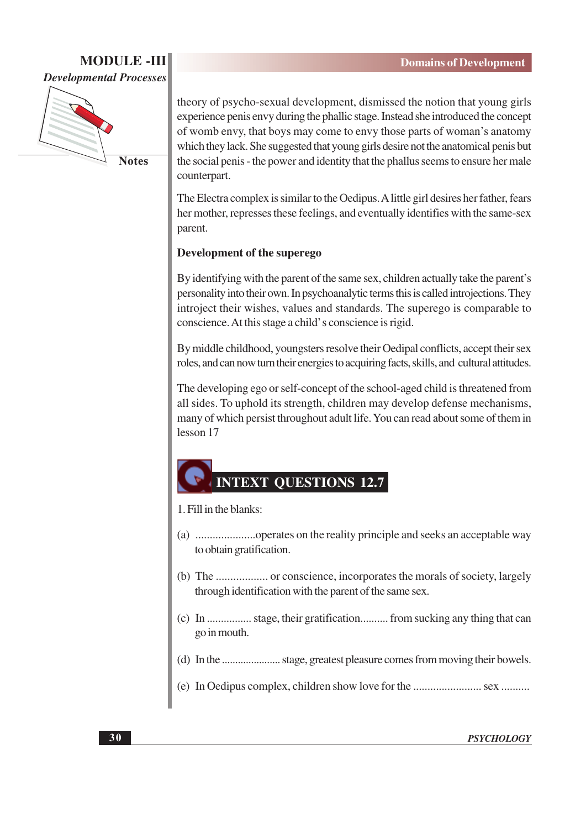

**Notes** 

theory of psycho-sexual development, dismissed the notion that young girls experience penis envy during the phallic stage. Instead she introduced the concept of womb envy, that boys may come to envy those parts of woman's anatomy which they lack. She suggested that young girls desire not the anatomical penis but the social penis - the power and identity that the phallus seems to ensure her male counterpart.

The Electra complex is similar to the Oedipus. A little girl desires her father, fears her mother, represses these feelings, and eventually identifies with the same-sex parent.

#### Development of the superego

By identifying with the parent of the same sex, children actually take the parent's personality into their own. In psychoanalytic terms this is called introjections. They introject their wishes, values and standards. The superego is comparable to conscience. At this stage a child's conscience is rigid.

By middle childhood, youngsters resolve their Oedipal conflicts, accept their sex roles, and can now turn their energies to acquiring facts, skills, and cultural attitudes.

The developing ego or self-concept of the school-aged child is threatened from all sides. To uphold its strength, children may develop defense mechanisms, many of which persist throughout adult life. You can read about some of them in lesson 17

# **INTEXT QUESTIONS 12.7**

#### 1. Fill in the blanks:

- to obtain gratification.
- through identification with the parent of the same sex.
- (c) In ................. stage, their gratification........... from sucking any thing that can go in mouth.
- 
-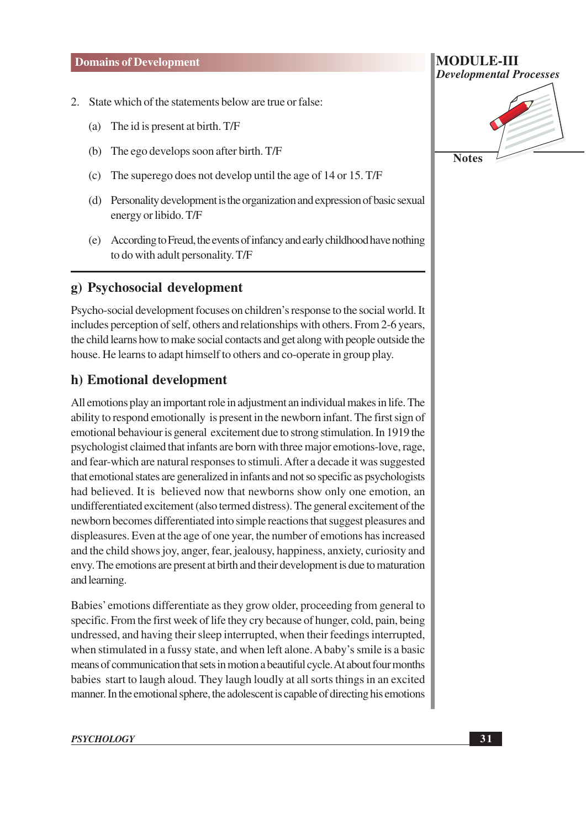- 2. State which of the statements below are true or false:
	- The id is present at birth. T/F  $(a)$
	- The ego develops soon after birth. T/F  $(b)$
	- The superego does not develop until the age of 14 or 15. T/F  $(c)$
	- (d) Personality development is the organization and expression of basic sexual energy or libido. T/F
	- (e) According to Freud, the events of infancy and early childhood have nothing to do with adult personality. T/F

### g) Psychosocial development

Psycho-social development focuses on children's response to the social world. It includes perception of self, others and relationships with others. From 2-6 years, the child learns how to make social contacts and get along with people outside the house. He learns to adapt himself to others and co-operate in group play.

# h) Emotional development

All emotions play an important role in adjustment an individual makes in life. The ability to respond emotionally is present in the newborn infant. The first sign of emotional behaviour is general excitement due to strong stimulation. In 1919 the psychologist claimed that infants are born with three major emotions-love, rage, and fear-which are natural responses to stimuli. After a decade it was suggested that emotional states are generalized in infants and not so specific as psychologists had believed. It is believed now that newborns show only one emotion, an undifferentiated excitement (also termed distress). The general excitement of the newborn becomes differentiated into simple reactions that suggest pleasures and displeasures. Even at the age of one year, the number of emotions has increased and the child shows joy, anger, fear, jealousy, happiness, anxiety, curiosity and envy. The emotions are present at birth and their development is due to maturation and learning.

Babies' emotions differentiate as they grow older, proceeding from general to specific. From the first week of life they cry because of hunger, cold, pain, being undressed, and having their sleep interrupted, when their feedings interrupted, when stimulated in a fussy state, and when left alone. A baby's smile is a basic means of communication that sets in motion a beautiful cycle. At about four months babies start to laugh aloud. They laugh loudly at all sorts things in an excited manner. In the emotional sphere, the adolescent is capable of directing his emotions



**MODULE-III**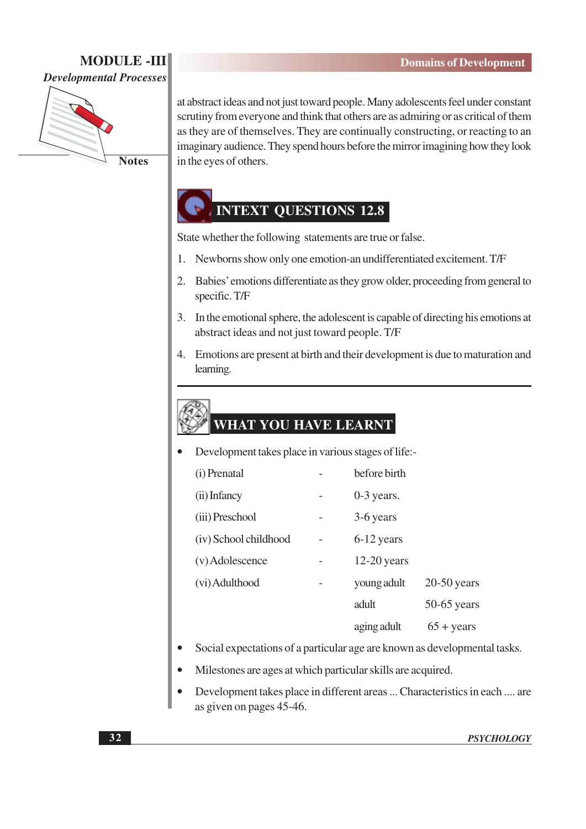

**Notes** 

at abstract ideas and not just toward people. Many adolescents feel under constant scrutiny from everyone and think that others are as admiring or as critical of them as they are of themselves. They are continually constructing, or reacting to an imaginary audience. They spend hours before the mirror imagining how they look in the eyes of others.

# **INTEXT OUESTIONS 12.8**

State whether the following statements are true or false.

- 1. Newborns show only one emotion-an undifferentiated excitement. T/F
- Babies' emotions differentiate as they grow older, proceeding from general to  $2.$ specific. T/F
- 3. In the emotional sphere, the adolescent is capable of directing his emotions at abstract ideas and not just toward people. T/F
- 4. Emotions are present at birth and their development is due to maturation and learning.

# WHAT YOU HAVE LEARNT

Development takes place in various stages of life:-

| (i) Prenatal          |   | before birth  |                     |
|-----------------------|---|---------------|---------------------|
| (ii) Infancy          |   | $0-3$ years.  |                     |
| (iii) Preschool       | - | 3-6 years     |                     |
| (iv) School childhood |   | 6-12 years    |                     |
| (v) Adolescence       |   | $12-20$ years |                     |
| (vi) Adulthood        |   | young adult   | $20-50$ years       |
|                       |   | adult         | $50-65$ years       |
|                       |   | aging adult   | $65 + \text{years}$ |

- Social expectations of a particular age are known as developmental tasks.
- Milestones are ages at which particular skills are acquired.
- Development takes place in different areas ... Characteristics in each .... are as given on pages 45-46.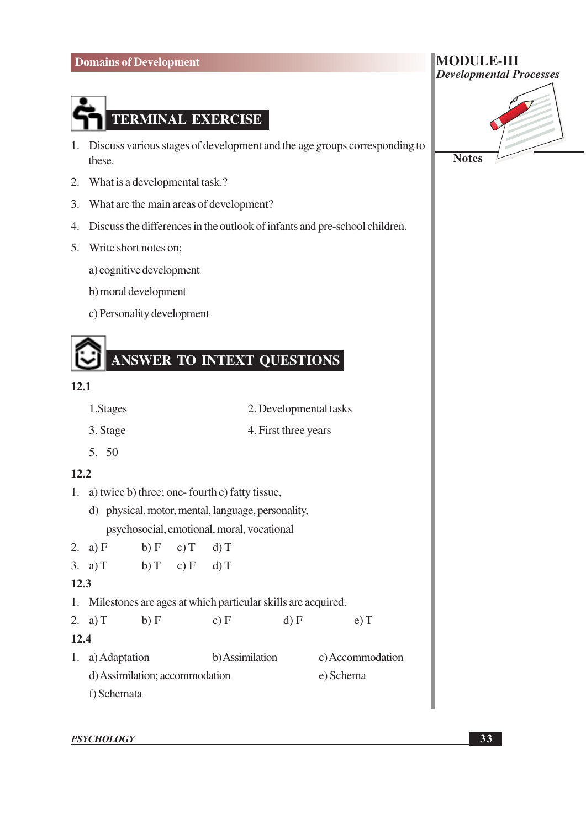

- 1. Discuss various stages of development and the age groups corresponding to these.
- 2. What is a developmental task.?
- 3. What are the main areas of development?
- 4. Discuss the differences in the outlook of infants and pre-school children.
- 5. Write short notes on;
	- a) cognitive development
	- b) moral development
	- c) Personality development



#### $12.1$

- 2. Developmental tasks 1. Stages
- 3. Stage 4. First three years
- 5. 50

#### $12.2$

- 1. a) twice b) three; one-fourth c) fatty tissue,
	- d) physical, motor, mental, language, personality, psychosocial, emotional, moral, vocational
- 2. a)  $F$  $b) F$  $c) T$  $d)$  T 3. a)  $T$  $b) T$  $c) F$  $d)$  T  $12.3$
- 1. Milestones are ages at which particular skills are acquired.

```
2. a) Tb) Fc) Fd) Fe) T12.41. a) Adaptation
                         b) Assimilation
                                               c) Accommodation
d) Assimilation: accommodation
                                               e) Schema
f) Schemata
```

| <b>Notes</b> |  |
|--------------|--|

**MODULE-III** 

**Developmental Processes**